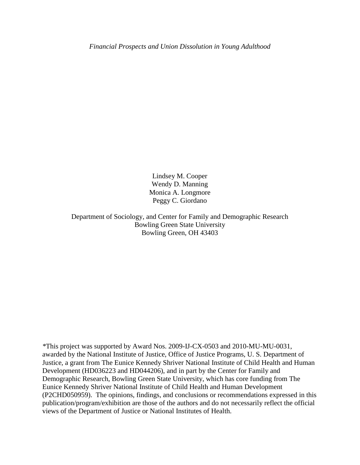Lindsey M. Cooper Wendy D. Manning Monica A. Longmore Peggy C. Giordano

Department of Sociology, and Center for Family and Demographic Research Bowling Green State University Bowling Green, OH 43403

*\**This project was supported by Award Nos. 2009-IJ-CX-0503 and 2010-MU-MU-0031, awarded by the National Institute of Justice, Office of Justice Programs, U. S. Department of Justice, a grant from The Eunice Kennedy Shriver National Institute of Child Health and Human Development (HD036223 and HD044206), and in part by the Center for Family and Demographic Research, Bowling Green State University, which has core funding from The Eunice Kennedy Shriver National Institute of Child Health and Human Development (P2CHD050959). The opinions, findings, and conclusions or recommendations expressed in this publication/program/exhibition are those of the authors and do not necessarily reflect the official views of the Department of Justice or National Institutes of Health.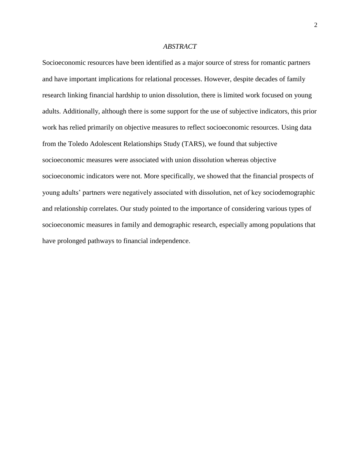## *ABSTRACT*

Socioeconomic resources have been identified as a major source of stress for romantic partners and have important implications for relational processes. However, despite decades of family research linking financial hardship to union dissolution, there is limited work focused on young adults. Additionally, although there is some support for the use of subjective indicators, this prior work has relied primarily on objective measures to reflect socioeconomic resources. Using data from the Toledo Adolescent Relationships Study (TARS), we found that subjective socioeconomic measures were associated with union dissolution whereas objective socioeconomic indicators were not. More specifically, we showed that the financial prospects of young adults' partners were negatively associated with dissolution, net of key sociodemographic and relationship correlates. Our study pointed to the importance of considering various types of socioeconomic measures in family and demographic research, especially among populations that have prolonged pathways to financial independence.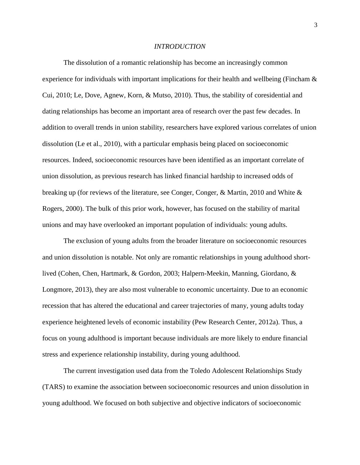#### *INTRODUCTION*

The dissolution of a romantic relationship has become an increasingly common experience for individuals with important implications for their health and wellbeing (Fincham  $\&$ Cui, 2010; Le, Dove, Agnew, Korn, & Mutso, 2010). Thus, the stability of coresidential and dating relationships has become an important area of research over the past few decades. In addition to overall trends in union stability, researchers have explored various correlates of union dissolution (Le et al., 2010), with a particular emphasis being placed on socioeconomic resources. Indeed, socioeconomic resources have been identified as an important correlate of union dissolution, as previous research has linked financial hardship to increased odds of breaking up (for reviews of the literature, see Conger, Conger, & Martin, 2010 and White & Rogers, 2000). The bulk of this prior work, however, has focused on the stability of marital unions and may have overlooked an important population of individuals: young adults.

The exclusion of young adults from the broader literature on socioeconomic resources and union dissolution is notable. Not only are romantic relationships in young adulthood shortlived (Cohen, Chen, Hartmark, & Gordon, 2003; Halpern-Meekin, Manning, Giordano, & Longmore, 2013), they are also most vulnerable to economic uncertainty. Due to an economic recession that has altered the educational and career trajectories of many, young adults today experience heightened levels of economic instability (Pew Research Center, 2012a). Thus, a focus on young adulthood is important because individuals are more likely to endure financial stress and experience relationship instability, during young adulthood.

The current investigation used data from the Toledo Adolescent Relationships Study (TARS) to examine the association between socioeconomic resources and union dissolution in young adulthood. We focused on both subjective and objective indicators of socioeconomic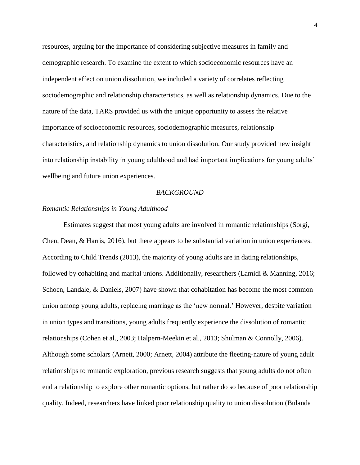resources, arguing for the importance of considering subjective measures in family and demographic research. To examine the extent to which socioeconomic resources have an independent effect on union dissolution, we included a variety of correlates reflecting sociodemographic and relationship characteristics, as well as relationship dynamics. Due to the nature of the data, TARS provided us with the unique opportunity to assess the relative importance of socioeconomic resources, sociodemographic measures, relationship characteristics, and relationship dynamics to union dissolution. Our study provided new insight into relationship instability in young adulthood and had important implications for young adults' wellbeing and future union experiences.

#### *BACKGROUND*

#### *Romantic Relationships in Young Adulthood*

Estimates suggest that most young adults are involved in romantic relationships (Sorgi, Chen, Dean, & Harris, 2016), but there appears to be substantial variation in union experiences. According to Child Trends (2013), the majority of young adults are in dating relationships, followed by cohabiting and marital unions. Additionally, researchers (Lamidi & Manning, 2016; Schoen, Landale, & Daniels, 2007) have shown that cohabitation has become the most common union among young adults, replacing marriage as the 'new normal.' However, despite variation in union types and transitions, young adults frequently experience the dissolution of romantic relationships (Cohen et al., 2003; Halpern-Meekin et al., 2013; Shulman & Connolly, 2006). Although some scholars (Arnett, 2000; Arnett, 2004) attribute the fleeting-nature of young adult relationships to romantic exploration, previous research suggests that young adults do not often end a relationship to explore other romantic options, but rather do so because of poor relationship quality. Indeed, researchers have linked poor relationship quality to union dissolution (Bulanda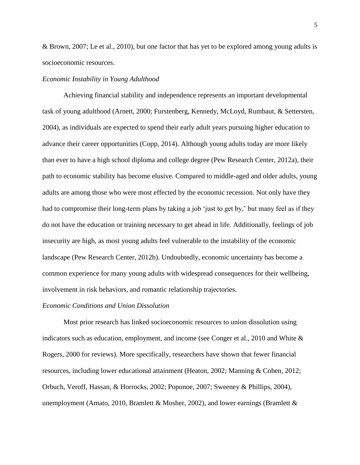& Brown, 2007; Le et al., 2010), but one factor that has yet to be explored among young adults is socioeconomic resources.

# *Economic Instability in Young Adulthood*

Achieving financial stability and independence represents an important developmental task of young adulthood (Arnett, 2000; Furstenberg, Kennedy, McLoyd, Rumbaut, & Settersten, 2004), as individuals are expected to spend their early adult years pursuing higher education to advance their career opportunities (Copp, 2014). Although young adults today are more likely than ever to have a high school diploma and college degree (Pew Research Center, 2012a), their path to economic stability has become elusive. Compared to middle-aged and older adults, young adults are among those who were most effected by the economic recession. Not only have they had to compromise their long-term plans by taking a job 'just to get by,' but many feel as if they do not have the education or training necessary to get ahead in life. Additionally, feelings of job insecurity are high, as most young adults feel vulnerable to the instability of the economic landscape (Pew Research Center, 2012b). Undoubtedly, economic uncertainty has become a common experience for many young adults with widespread consequences for their wellbeing, involvement in risk behaviors, and romantic relationship trajectories.

# *Economic Conditions and Union Dissolution*

Most prior research has linked socioeconomic resources to union dissolution using indicators such as education, employment, and income (see Conger et al., 2010 and White & Rogers, 2000 for reviews). More specifically, researchers have shown that fewer financial resources, including lower educational attainment (Heaton, 2002; Manning & Cohen, 2012; Orbuch, Veroff, Hassan, & Horrocks, 2002; Poponoe, 2007; Sweeney & Phillips, 2004), unemployment (Amato, 2010, Bramlett & Mosher, 2002), and lower earnings (Bramlett &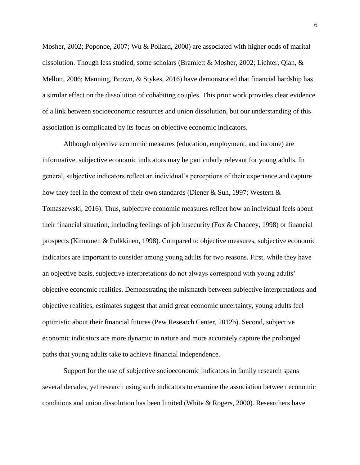Mosher, 2002; Poponoe, 2007; Wu & Pollard, 2000) are associated with higher odds of marital dissolution. Though less studied, some scholars (Bramlett & Mosher, 2002; Lichter, Qian, & Mellott, 2006; Manning, Brown, & Stykes, 2016) have demonstrated that financial hardship has a similar effect on the dissolution of cohabiting couples. This prior work provides clear evidence of a link between socioeconomic resources and union dissolution, but our understanding of this association is complicated by its focus on objective economic indicators.

Although objective economic measures (education, employment, and income) are informative, subjective economic indicators may be particularly relevant for young adults. In general, subjective indicators reflect an individual's perceptions of their experience and capture how they feel in the context of their own standards (Diener & Suh, 1997; Western  $\&$ Tomaszewski, 2016). Thus, subjective economic measures reflect how an individual feels about their financial situation, including feelings of job insecurity (Fox & Chancey, 1998) or financial prospects (Kinnunen & Pulkkinen, 1998). Compared to objective measures, subjective economic indicators are important to consider among young adults for two reasons. First, while they have an objective basis, subjective interpretations do not always correspond with young adults' objective economic realities. Demonstrating the mismatch between subjective interpretations and objective realities, estimates suggest that amid great economic uncertainty, young adults feel optimistic about their financial futures (Pew Research Center, 2012b). Second, subjective economic indicators are more dynamic in nature and more accurately capture the prolonged paths that young adults take to achieve financial independence.

Support for the use of subjective socioeconomic indicators in family research spans several decades, yet research using such indicators to examine the association between economic conditions and union dissolution has been limited (White & Rogers, 2000). Researchers have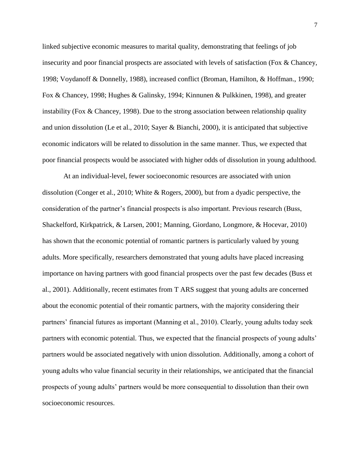linked subjective economic measures to marital quality, demonstrating that feelings of job insecurity and poor financial prospects are associated with levels of satisfaction (Fox  $\&$  Chancey, 1998; Voydanoff & Donnelly, 1988), increased conflict (Broman, Hamilton, & Hoffman., 1990; Fox & Chancey, 1998; Hughes & Galinsky, 1994; Kinnunen & Pulkkinen, 1998), and greater instability (Fox & Chancey, 1998). Due to the strong association between relationship quality and union dissolution (Le et al., 2010; Sayer & Bianchi, 2000), it is anticipated that subjective economic indicators will be related to dissolution in the same manner. Thus, we expected that poor financial prospects would be associated with higher odds of dissolution in young adulthood.

At an individual-level, fewer socioeconomic resources are associated with union dissolution (Conger et al., 2010; White & Rogers, 2000), but from a dyadic perspective, the consideration of the partner's financial prospects is also important. Previous research (Buss, Shackelford, Kirkpatrick, & Larsen, 2001; Manning, Giordano, Longmore, & Hocevar, 2010) has shown that the economic potential of romantic partners is particularly valued by young adults. More specifically, researchers demonstrated that young adults have placed increasing importance on having partners with good financial prospects over the past few decades (Buss et al., 2001). Additionally, recent estimates from T ARS suggest that young adults are concerned about the economic potential of their romantic partners, with the majority considering their partners' financial futures as important (Manning et al., 2010). Clearly, young adults today seek partners with economic potential. Thus, we expected that the financial prospects of young adults' partners would be associated negatively with union dissolution. Additionally, among a cohort of young adults who value financial security in their relationships, we anticipated that the financial prospects of young adults' partners would be more consequential to dissolution than their own socioeconomic resources.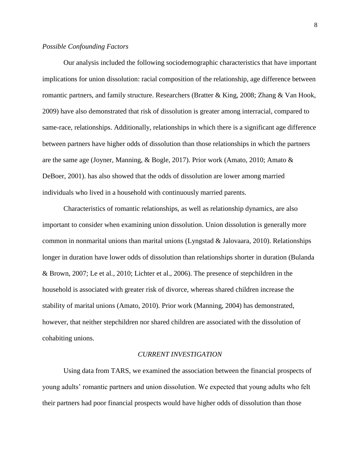## *Possible Confounding Factors*

Our analysis included the following sociodemographic characteristics that have important implications for union dissolution: racial composition of the relationship, age difference between romantic partners, and family structure. Researchers (Bratter & King, 2008; Zhang & Van Hook, 2009) have also demonstrated that risk of dissolution is greater among interracial, compared to same-race, relationships. Additionally, relationships in which there is a significant age difference between partners have higher odds of dissolution than those relationships in which the partners are the same age (Joyner, Manning, & Bogle, 2017). Prior work (Amato, 2010; Amato & DeBoer, 2001). has also showed that the odds of dissolution are lower among married individuals who lived in a household with continuously married parents.

Characteristics of romantic relationships, as well as relationship dynamics, are also important to consider when examining union dissolution. Union dissolution is generally more common in nonmarital unions than marital unions (Lyngstad & Jalovaara, 2010). Relationships longer in duration have lower odds of dissolution than relationships shorter in duration (Bulanda & Brown, 2007; Le et al., 2010; Lichter et al., 2006). The presence of stepchildren in the household is associated with greater risk of divorce, whereas shared children increase the stability of marital unions (Amato, 2010). Prior work (Manning, 2004) has demonstrated, however, that neither stepchildren nor shared children are associated with the dissolution of cohabiting unions.

#### *CURRENT INVESTIGATION*

Using data from TARS, we examined the association between the financial prospects of young adults' romantic partners and union dissolution. We expected that young adults who felt their partners had poor financial prospects would have higher odds of dissolution than those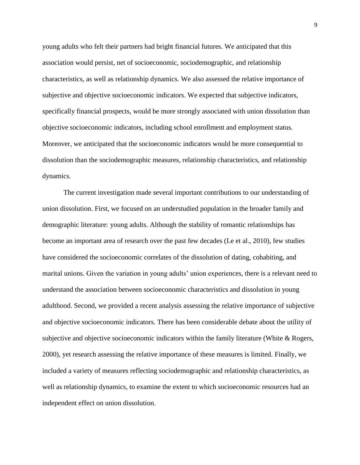young adults who felt their partners had bright financial futures. We anticipated that this association would persist, net of socioeconomic, sociodemographic, and relationship characteristics, as well as relationship dynamics. We also assessed the relative importance of subjective and objective socioeconomic indicators. We expected that subjective indicators, specifically financial prospects, would be more strongly associated with union dissolution than objective socioeconomic indicators, including school enrollment and employment status. Moreover, we anticipated that the socioeconomic indicators would be more consequential to dissolution than the sociodemographic measures, relationship characteristics, and relationship dynamics.

The current investigation made several important contributions to our understanding of union dissolution. First, we focused on an understudied population in the broader family and demographic literature: young adults. Although the stability of romantic relationships has become an important area of research over the past few decades (Le et al., 2010), few studies have considered the socioeconomic correlates of the dissolution of dating, cohabiting, and marital unions. Given the variation in young adults' union experiences, there is a relevant need to understand the association between socioeconomic characteristics and dissolution in young adulthood. Second, we provided a recent analysis assessing the relative importance of subjective and objective socioeconomic indicators. There has been considerable debate about the utility of subjective and objective socioeconomic indicators within the family literature (White & Rogers, 2000), yet research assessing the relative importance of these measures is limited. Finally, we included a variety of measures reflecting sociodemographic and relationship characteristics, as well as relationship dynamics, to examine the extent to which socioeconomic resources had an independent effect on union dissolution.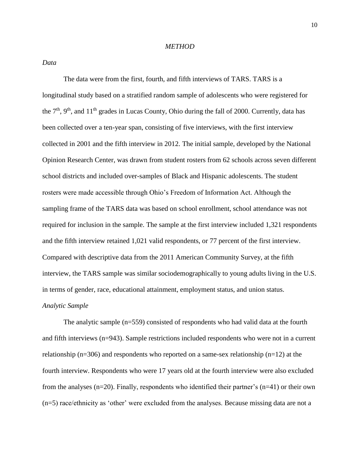## *METHOD*

*Data*

The data were from the first, fourth, and fifth interviews of TARS. TARS is a longitudinal study based on a stratified random sample of adolescents who were registered for the  $7<sup>th</sup>$ ,  $9<sup>th</sup>$ , and  $11<sup>th</sup>$  grades in Lucas County, Ohio during the fall of 2000. Currently, data has been collected over a ten-year span, consisting of five interviews, with the first interview collected in 2001 and the fifth interview in 2012. The initial sample, developed by the National Opinion Research Center, was drawn from student rosters from 62 schools across seven different school districts and included over-samples of Black and Hispanic adolescents. The student rosters were made accessible through Ohio's Freedom of Information Act. Although the sampling frame of the TARS data was based on school enrollment, school attendance was not required for inclusion in the sample. The sample at the first interview included 1,321 respondents and the fifth interview retained 1,021 valid respondents, or 77 percent of the first interview. Compared with descriptive data from the 2011 American Community Survey, at the fifth interview, the TARS sample was similar sociodemographically to young adults living in the U.S. in terms of gender, race, educational attainment, employment status, and union status. *Analytic Sample* 

The analytic sample (n=559) consisted of respondents who had valid data at the fourth and fifth interviews (n=943). Sample restrictions included respondents who were not in a current relationship ( $n=306$ ) and respondents who reported on a same-sex relationship ( $n=12$ ) at the fourth interview. Respondents who were 17 years old at the fourth interview were also excluded from the analyses (n=20). Finally, respondents who identified their partner's (n=41) or their own (n=5) race/ethnicity as 'other' were excluded from the analyses. Because missing data are not a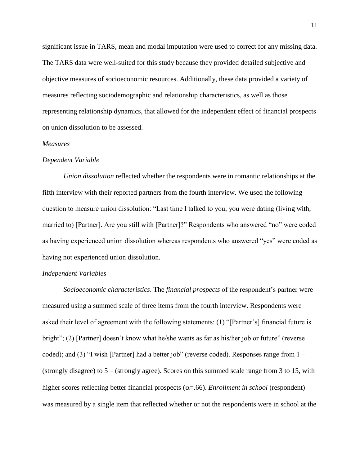significant issue in TARS, mean and modal imputation were used to correct for any missing data. The TARS data were well-suited for this study because they provided detailed subjective and objective measures of socioeconomic resources. Additionally, these data provided a variety of measures reflecting sociodemographic and relationship characteristics, as well as those representing relationship dynamics, that allowed for the independent effect of financial prospects on union dissolution to be assessed.

## *Measures*

#### *Dependent Variable*

*Union dissolution* reflected whether the respondents were in romantic relationships at the fifth interview with their reported partners from the fourth interview. We used the following question to measure union dissolution: "Last time I talked to you, you were dating (living with, married to) [Partner]. Are you still with [Partner]?" Respondents who answered "no" were coded as having experienced union dissolution whereas respondents who answered "yes" were coded as having not experienced union dissolution.

## *Independent Variables*

*Socioeconomic characteristics*. The *financial prospects* of the respondent's partner were measured using a summed scale of three items from the fourth interview. Respondents were asked their level of agreement with the following statements: (1) "[Partner's] financial future is bright"; (2) [Partner] doesn't know what he/she wants as far as his/her job or future" (reverse coded); and (3) "I wish [Partner] had a better job" (reverse coded). Responses range from  $1 -$ (strongly disagree) to 5 – (strongly agree). Scores on this summed scale range from 3 to 15, with higher scores reflecting better financial prospects  $(\alpha = .66)$ . *Enrollment in school* (respondent) was measured by a single item that reflected whether or not the respondents were in school at the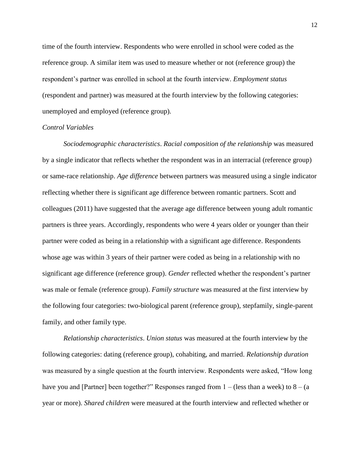time of the fourth interview. Respondents who were enrolled in school were coded as the reference group. A similar item was used to measure whether or not (reference group) the respondent's partner was enrolled in school at the fourth interview. *Employment status* (respondent and partner) was measured at the fourth interview by the following categories: unemployed and employed (reference group).

#### *Control Variables*

*Sociodemographic characteristics*. *Racial composition of the relationship* was measured by a single indicator that reflects whether the respondent was in an interracial (reference group) or same-race relationship. *Age difference* between partners was measured using a single indicator reflecting whether there is significant age difference between romantic partners. Scott and colleagues (2011) have suggested that the average age difference between young adult romantic partners is three years. Accordingly, respondents who were 4 years older or younger than their partner were coded as being in a relationship with a significant age difference. Respondents whose age was within 3 years of their partner were coded as being in a relationship with no significant age difference (reference group). *Gender* reflected whether the respondent's partner was male or female (reference group). *Family structure* was measured at the first interview by the following four categories: two-biological parent (reference group), stepfamily, single-parent family, and other family type.

*Relationship characteristics*. *Union status* was measured at the fourth interview by the following categories: dating (reference group), cohabiting, and married. *Relationship duration* was measured by a single question at the fourth interview. Respondents were asked, "How long have you and [Partner] been together?" Responses ranged from  $1 -$  (less than a week) to  $8 -$  (a year or more). *Shared children* were measured at the fourth interview and reflected whether or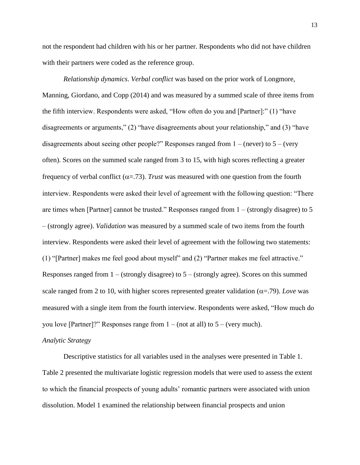not the respondent had children with his or her partner. Respondents who did not have children with their partners were coded as the reference group.

*Relationship dynamics*. *Verbal conflict* was based on the prior work of Longmore, Manning, Giordano, and Copp (2014) and was measured by a summed scale of three items from the fifth interview. Respondents were asked, "How often do you and [Partner]:" (1) "have disagreements or arguments," (2) "have disagreements about your relationship," and (3) "have disagreements about seeing other people?" Responses ranged from  $1 - (never)$  to  $5 - (very)$ often). Scores on the summed scale ranged from 3 to 15, with high scores reflecting a greater frequency of verbal conflict ( $\alpha$ =.73). *Trust* was measured with one question from the fourth interview. Respondents were asked their level of agreement with the following question: "There are times when [Partner] cannot be trusted." Responses ranged from 1 – (strongly disagree) to 5 – (strongly agree). *Validation* was measured by a summed scale of two items from the fourth interview. Respondents were asked their level of agreement with the following two statements: (1) "[Partner] makes me feel good about myself" and (2) "Partner makes me feel attractive." Responses ranged from  $1 -$  (strongly disagree) to  $5 -$  (strongly agree). Scores on this summed scale ranged from 2 to 10, with higher scores represented greater validation  $(\alpha = .79)$ . *Love* was measured with a single item from the fourth interview. Respondents were asked, "How much do you love [Partner]?" Responses range from  $1 - (not at all)$  to  $5 - (very much)$ .

# *Analytic Strategy*

Descriptive statistics for all variables used in the analyses were presented in Table 1. Table 2 presented the multivariate logistic regression models that were used to assess the extent to which the financial prospects of young adults' romantic partners were associated with union dissolution. Model 1 examined the relationship between financial prospects and union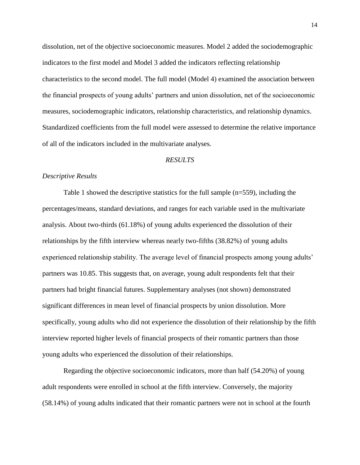dissolution, net of the objective socioeconomic measures. Model 2 added the sociodemographic indicators to the first model and Model 3 added the indicators reflecting relationship characteristics to the second model. The full model (Model 4) examined the association between the financial prospects of young adults' partners and union dissolution, net of the socioeconomic measures, sociodemographic indicators, relationship characteristics, and relationship dynamics. Standardized coefficients from the full model were assessed to determine the relative importance of all of the indicators included in the multivariate analyses.

# *RESULTS*

## *Descriptive Results*

Table 1 showed the descriptive statistics for the full sample (n=559), including the percentages/means, standard deviations, and ranges for each variable used in the multivariate analysis. About two-thirds (61.18%) of young adults experienced the dissolution of their relationships by the fifth interview whereas nearly two-fifths (38.82%) of young adults experienced relationship stability. The average level of financial prospects among young adults' partners was 10.85. This suggests that, on average, young adult respondents felt that their partners had bright financial futures. Supplementary analyses (not shown) demonstrated significant differences in mean level of financial prospects by union dissolution. More specifically, young adults who did not experience the dissolution of their relationship by the fifth interview reported higher levels of financial prospects of their romantic partners than those young adults who experienced the dissolution of their relationships.

Regarding the objective socioeconomic indicators, more than half (54.20%) of young adult respondents were enrolled in school at the fifth interview. Conversely, the majority (58.14%) of young adults indicated that their romantic partners were not in school at the fourth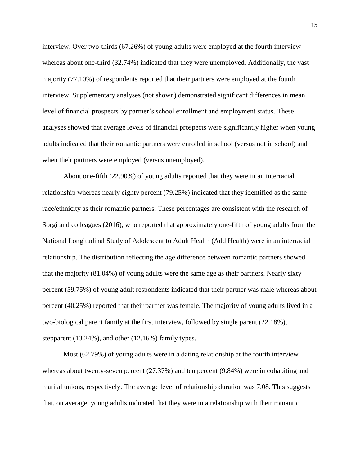interview. Over two-thirds (67.26%) of young adults were employed at the fourth interview whereas about one-third (32.74%) indicated that they were unemployed. Additionally, the vast majority (77.10%) of respondents reported that their partners were employed at the fourth interview. Supplementary analyses (not shown) demonstrated significant differences in mean level of financial prospects by partner's school enrollment and employment status. These analyses showed that average levels of financial prospects were significantly higher when young adults indicated that their romantic partners were enrolled in school (versus not in school) and when their partners were employed (versus unemployed).

About one-fifth (22.90%) of young adults reported that they were in an interracial relationship whereas nearly eighty percent (79.25%) indicated that they identified as the same race/ethnicity as their romantic partners. These percentages are consistent with the research of Sorgi and colleagues (2016), who reported that approximately one-fifth of young adults from the National Longitudinal Study of Adolescent to Adult Health (Add Health) were in an interracial relationship. The distribution reflecting the age difference between romantic partners showed that the majority (81.04%) of young adults were the same age as their partners. Nearly sixty percent (59.75%) of young adult respondents indicated that their partner was male whereas about percent (40.25%) reported that their partner was female. The majority of young adults lived in a two-biological parent family at the first interview, followed by single parent (22.18%), stepparent (13.24%), and other (12.16%) family types.

Most (62.79%) of young adults were in a dating relationship at the fourth interview whereas about twenty-seven percent (27.37%) and ten percent (9.84%) were in cohabiting and marital unions, respectively. The average level of relationship duration was 7.08. This suggests that, on average, young adults indicated that they were in a relationship with their romantic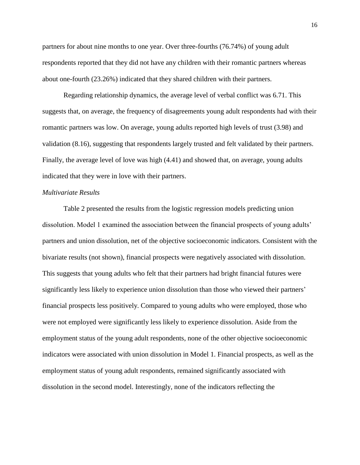partners for about nine months to one year. Over three-fourths (76.74%) of young adult respondents reported that they did not have any children with their romantic partners whereas about one-fourth (23.26%) indicated that they shared children with their partners.

Regarding relationship dynamics, the average level of verbal conflict was 6.71. This suggests that, on average, the frequency of disagreements young adult respondents had with their romantic partners was low. On average, young adults reported high levels of trust (3.98) and validation (8.16), suggesting that respondents largely trusted and felt validated by their partners. Finally, the average level of love was high (4.41) and showed that, on average, young adults indicated that they were in love with their partners.

# *Multivariate Results*

Table 2 presented the results from the logistic regression models predicting union dissolution. Model 1 examined the association between the financial prospects of young adults' partners and union dissolution, net of the objective socioeconomic indicators. Consistent with the bivariate results (not shown), financial prospects were negatively associated with dissolution. This suggests that young adults who felt that their partners had bright financial futures were significantly less likely to experience union dissolution than those who viewed their partners' financial prospects less positively. Compared to young adults who were employed, those who were not employed were significantly less likely to experience dissolution. Aside from the employment status of the young adult respondents, none of the other objective socioeconomic indicators were associated with union dissolution in Model 1. Financial prospects, as well as the employment status of young adult respondents, remained significantly associated with dissolution in the second model. Interestingly, none of the indicators reflecting the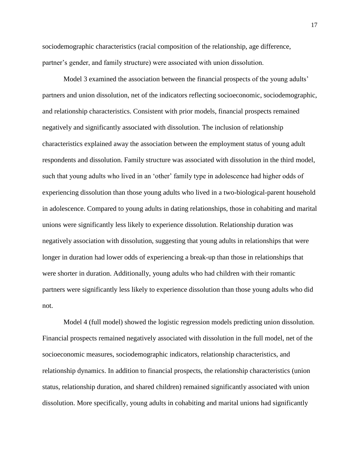sociodemographic characteristics (racial composition of the relationship, age difference, partner's gender, and family structure) were associated with union dissolution.

Model 3 examined the association between the financial prospects of the young adults' partners and union dissolution, net of the indicators reflecting socioeconomic, sociodemographic, and relationship characteristics. Consistent with prior models, financial prospects remained negatively and significantly associated with dissolution. The inclusion of relationship characteristics explained away the association between the employment status of young adult respondents and dissolution. Family structure was associated with dissolution in the third model, such that young adults who lived in an 'other' family type in adolescence had higher odds of experiencing dissolution than those young adults who lived in a two-biological-parent household in adolescence. Compared to young adults in dating relationships, those in cohabiting and marital unions were significantly less likely to experience dissolution. Relationship duration was negatively association with dissolution, suggesting that young adults in relationships that were longer in duration had lower odds of experiencing a break-up than those in relationships that were shorter in duration. Additionally, young adults who had children with their romantic partners were significantly less likely to experience dissolution than those young adults who did not.

Model 4 (full model) showed the logistic regression models predicting union dissolution. Financial prospects remained negatively associated with dissolution in the full model, net of the socioeconomic measures, sociodemographic indicators, relationship characteristics, and relationship dynamics. In addition to financial prospects, the relationship characteristics (union status, relationship duration, and shared children) remained significantly associated with union dissolution. More specifically, young adults in cohabiting and marital unions had significantly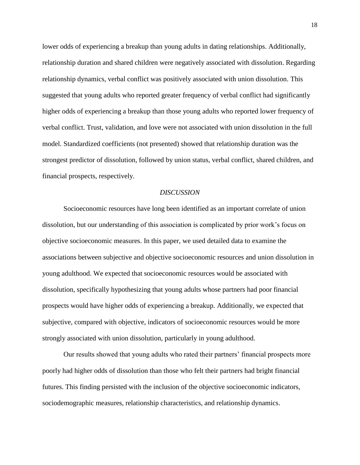lower odds of experiencing a breakup than young adults in dating relationships. Additionally, relationship duration and shared children were negatively associated with dissolution. Regarding relationship dynamics, verbal conflict was positively associated with union dissolution. This suggested that young adults who reported greater frequency of verbal conflict had significantly higher odds of experiencing a breakup than those young adults who reported lower frequency of verbal conflict. Trust, validation, and love were not associated with union dissolution in the full model. Standardized coefficients (not presented) showed that relationship duration was the strongest predictor of dissolution, followed by union status, verbal conflict, shared children, and financial prospects, respectively.

#### *DISCUSSION*

Socioeconomic resources have long been identified as an important correlate of union dissolution, but our understanding of this association is complicated by prior work's focus on objective socioeconomic measures. In this paper, we used detailed data to examine the associations between subjective and objective socioeconomic resources and union dissolution in young adulthood. We expected that socioeconomic resources would be associated with dissolution, specifically hypothesizing that young adults whose partners had poor financial prospects would have higher odds of experiencing a breakup. Additionally, we expected that subjective, compared with objective, indicators of socioeconomic resources would be more strongly associated with union dissolution, particularly in young adulthood.

Our results showed that young adults who rated their partners' financial prospects more poorly had higher odds of dissolution than those who felt their partners had bright financial futures. This finding persisted with the inclusion of the objective socioeconomic indicators, sociodemographic measures, relationship characteristics, and relationship dynamics.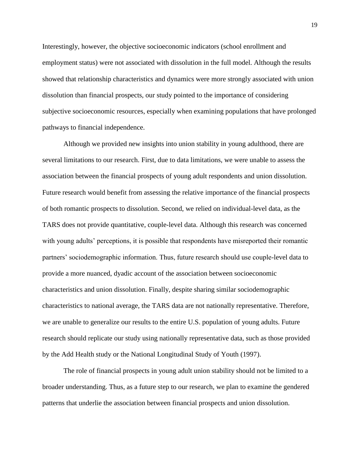Interestingly, however, the objective socioeconomic indicators (school enrollment and employment status) were not associated with dissolution in the full model. Although the results showed that relationship characteristics and dynamics were more strongly associated with union dissolution than financial prospects, our study pointed to the importance of considering subjective socioeconomic resources, especially when examining populations that have prolonged pathways to financial independence.

Although we provided new insights into union stability in young adulthood, there are several limitations to our research. First, due to data limitations, we were unable to assess the association between the financial prospects of young adult respondents and union dissolution. Future research would benefit from assessing the relative importance of the financial prospects of both romantic prospects to dissolution. Second, we relied on individual-level data, as the TARS does not provide quantitative, couple-level data. Although this research was concerned with young adults' perceptions, it is possible that respondents have misreported their romantic partners' sociodemographic information. Thus, future research should use couple-level data to provide a more nuanced, dyadic account of the association between socioeconomic characteristics and union dissolution. Finally, despite sharing similar sociodemographic characteristics to national average, the TARS data are not nationally representative. Therefore, we are unable to generalize our results to the entire U.S. population of young adults. Future research should replicate our study using nationally representative data, such as those provided by the Add Health study or the National Longitudinal Study of Youth (1997).

The role of financial prospects in young adult union stability should not be limited to a broader understanding. Thus, as a future step to our research, we plan to examine the gendered patterns that underlie the association between financial prospects and union dissolution.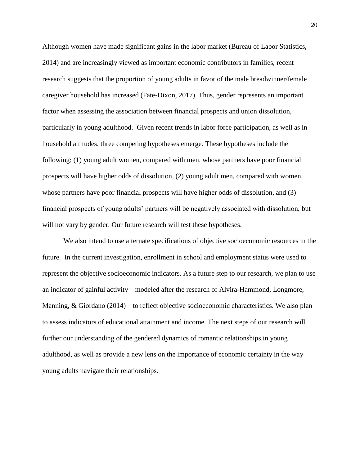Although women have made significant gains in the labor market (Bureau of Labor Statistics, 2014) and are increasingly viewed as important economic contributors in families, recent research suggests that the proportion of young adults in favor of the male breadwinner/female caregiver household has increased (Fate-Dixon, 2017). Thus, gender represents an important factor when assessing the association between financial prospects and union dissolution, particularly in young adulthood. Given recent trends in labor force participation, as well as in household attitudes, three competing hypotheses emerge. These hypotheses include the following: (1) young adult women, compared with men, whose partners have poor financial prospects will have higher odds of dissolution, (2) young adult men, compared with women, whose partners have poor financial prospects will have higher odds of dissolution, and (3) financial prospects of young adults' partners will be negatively associated with dissolution, but will not vary by gender. Our future research will test these hypotheses.

We also intend to use alternate specifications of objective socioeconomic resources in the future. In the current investigation, enrollment in school and employment status were used to represent the objective socioeconomic indicators. As a future step to our research, we plan to use an indicator of gainful activity—modeled after the research of Alvira-Hammond, Longmore, Manning, & Giordano (2014)—to reflect objective socioeconomic characteristics. We also plan to assess indicators of educational attainment and income. The next steps of our research will further our understanding of the gendered dynamics of romantic relationships in young adulthood, as well as provide a new lens on the importance of economic certainty in the way young adults navigate their relationships.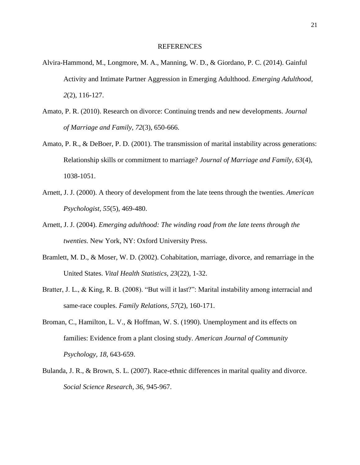## REFERENCES

- Alvira-Hammond, M., Longmore, M. A., Manning, W. D., & Giordano, P. C. (2014). Gainful Activity and Intimate Partner Aggression in Emerging Adulthood. *Emerging Adulthood, 2*(2), 116-127.
- Amato, P. R. (2010). Research on divorce: Continuing trends and new developments. *Journal of Marriage and Family, 72*(3), 650-666.
- Amato, P. R., & DeBoer, P. D. (2001). The transmission of marital instability across generations: Relationship skills or commitment to marriage? *Journal of Marriage and Family, 63*(4), 1038-1051.
- Arnett, J. J. (2000). A theory of development from the late teens through the twenties. *American Psychologist, 55*(5), 469-480.
- Arnett, J. J. (2004). *Emerging adulthood: The winding road from the late teens through the twenties.* New York, NY: Oxford University Press.
- Bramlett, M. D., & Moser, W. D. (2002). Cohabitation, marriage, divorce, and remarriage in the United States. *Vital Health Statistics, 23*(22), 1-32.
- Bratter, J. L., & King, R. B. (2008). "But will it last?": Marital instability among interracial and same-race couples. *Family Relations, 57*(2), 160-171.
- Broman, C., Hamilton, L. V., & Hoffman, W. S. (1990). Unemployment and its effects on families: Evidence from a plant closing study. *American Journal of Community Psychology, 18*, 643-659.
- Bulanda, J. R., & Brown, S. L. (2007). Race-ethnic differences in marital quality and divorce. *Social Science Research, 36*, 945-967.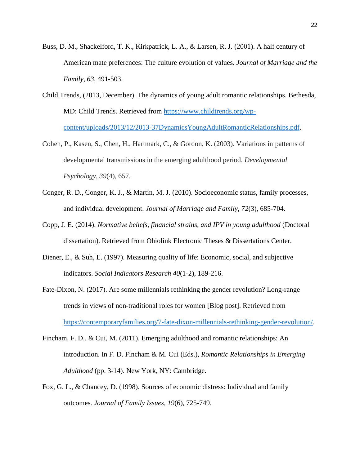- Buss, D. M., Shackelford, T. K., Kirkpatrick, L. A., & Larsen, R. J. (2001). A half century of American mate preferences: The culture evolution of values. *Journal of Marriage and the Family, 63*, 491-503.
- Child Trends, (2013, December). The dynamics of young adult romantic relationships. Bethesda, MD: Child Trends. Retrieved from [https://www.childtrends.org/wp](https://www.childtrends.org/wp-%09content/uploads/2013/12/2013-37DynamicsYoungAdultRomanticRelationships.pdf)[content/uploads/2013/12/2013-37DynamicsYoungAdultRomanticRelationships.pdf.](https://www.childtrends.org/wp-%09content/uploads/2013/12/2013-37DynamicsYoungAdultRomanticRelationships.pdf)
- Cohen, P., Kasen, S., Chen, H., Hartmark, C., & Gordon, K. (2003). Variations in patterns of developmental transmissions in the emerging adulthood period. *Developmental Psychology*, *39*(4), 657.
- Conger, R. D., Conger, K. J., & Martin, M. J. (2010). Socioeconomic status, family processes, and individual development. *Journal of Marriage and Family, 72*(3), 685-704.
- Copp, J. E. (2014). *Normative beliefs, financial strains, and IPV in young adulthood* (Doctoral dissertation). Retrieved from Ohiolink Electronic Theses & Dissertations Center.
- Diener, E., & Suh, E. (1997). Measuring quality of life: Economic, social, and subjective indicators. *Social Indicators Research 40*(1-2), 189-216.
- Fate-Dixon, N. (2017). Are some millennials rethinking the gender revolution? Long-range trends in views of non-traditional roles for women [Blog post]. Retrieved from [https://contemporaryfamilies.org/7-fate-dixon-millennials-rethinking-gender-revolution/.](https://contemporaryfamilies.org/7-fate-dixon-millennials-rethinking-gender-revolution/)
- Fincham, F. D., & Cui, M. (2011). Emerging adulthood and romantic relationships: An introduction. In F. D. Fincham & M. Cui (Eds.), *Romantic Relationships in Emerging Adulthood* (pp. 3-14). New York, NY: Cambridge.
- Fox, G. L., & Chancey, D. (1998). Sources of economic distress: Individual and family outcomes. *Journal of Family Issues, 19*(6), 725-749.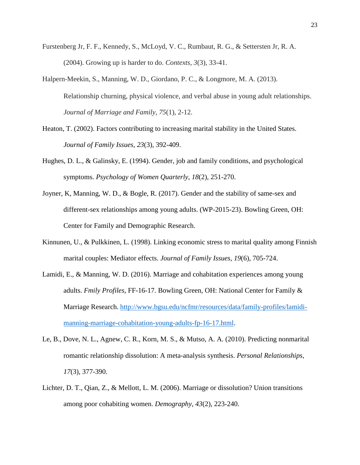- Furstenberg Jr, F. F., Kennedy, S., McLoyd, V. C., Rumbaut, R. G., & Settersten Jr, R. A. (2004). Growing up is harder to do. *Contexts*, *3*(3), 33-41.
- Halpern‐Meekin, S., Manning, W. D., Giordano, P. C., & Longmore, M. A. (2013). Relationship churning, physical violence, and verbal abuse in young adult relationships. *Journal of Marriage and Family*, *75*(1), 2-12.
- Heaton, T. (2002). Factors contributing to increasing marital stability in the United States. *Journal of Family Issues, 23*(3), 392-409.
- Hughes, D. L., & Galinsky, E. (1994). Gender, job and family conditions, and psychological symptoms. *Psychology of Women Quarterly*, *18*(2), 251-270.
- Joyner, K, Manning, W. D., & Bogle, R. (2017). Gender and the stability of same-sex and different-sex relationships among young adults. (WP-2015-23). Bowling Green, OH: Center for Family and Demographic Research.
- Kinnunen, U., & Pulkkinen, L. (1998). Linking economic stress to marital quality among Finnish marital couples: Mediator effects. *Journal of Family Issues*, *19*(6), 705-724.
- Lamidi, E., & Manning, W. D. (2016). Marriage and cohabitation experiences among young adults. *Fmily Profiles,* FF-16-17. Bowling Green, OH: National Center for Family & Marriage Research. [http://www.bgsu.edu/ncfmr/resources/data/family-profiles/lamidi](http://www.bgsu.edu/ncfmr/resources/data/family-profiles/lamidi-%09manning-marriage-cohabitation-young-adults-fp-16-17.html)[manning-marriage-cohabitation-young-adults-fp-16-17.html.](http://www.bgsu.edu/ncfmr/resources/data/family-profiles/lamidi-%09manning-marriage-cohabitation-young-adults-fp-16-17.html)
- Le, B., Dove, N. L., Agnew, C. R., Korn, M. S., & Mutso, A. A. (2010). Predicting nonmarital romantic relationship dissolution: A meta-analysis synthesis. *Personal Relationships, 17*(3), 377-390.
- Lichter, D. T., Qian, Z., & Mellott, L. M. (2006). Marriage or dissolution? Union transitions among poor cohabiting women. *Demography, 43*(2), 223-240.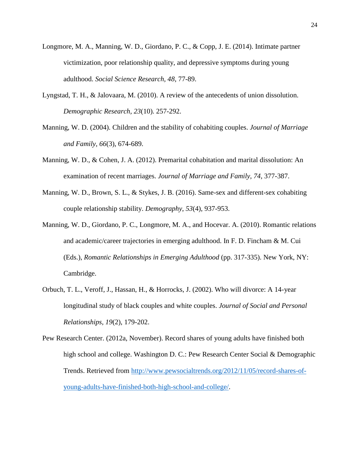- Longmore, M. A., Manning, W. D., Giordano, P. C., & Copp, J. E. (2014). Intimate partner victimization, poor relationship quality, and depressive symptoms during young adulthood. *Social Science Research, 48*, 77-89.
- Lyngstad, T. H., & Jalovaara, M. (2010). A review of the antecedents of union dissolution. *Demographic Research, 23*(10). 257-292.
- Manning, W. D. (2004). Children and the stability of cohabiting couples. *Journal of Marriage and Family, 66*(3), 674-689.
- Manning, W. D., & Cohen, J. A. (2012). Premarital cohabitation and marital dissolution: An examination of recent marriages. *Journal of Marriage and Family, 74*, 377-387.
- Manning, W. D., Brown, S. L., & Stykes, J. B. (2016). Same-sex and different-sex cohabiting couple relationship stability. *Demography*, *53*(4), 937-953.
- Manning, W. D., Giordano, P. C., Longmore, M. A., and Hocevar. A. (2010). Romantic relations and academic/career trajectories in emerging adulthood. In F. D. Fincham & M. Cui (Eds.), *Romantic Relationships in Emerging Adulthood* (pp. 317-335). New York, NY: Cambridge.
- Orbuch, T. L., Veroff, J., Hassan, H., & Horrocks, J. (2002). Who will divorce: A 14-year longitudinal study of black couples and white couples. *Journal of Social and Personal Relationships, 19*(2), 179-202.
- Pew Research Center. (2012a, November). Record shares of young adults have finished both high school and college. Washington D. C.: Pew Research Center Social & Demographic Trends. Retrieved from [http://www.pewsocialtrends.org/2012/11/05/record-shares-of](http://www.pewsocialtrends.org/2012/11/05/record-shares-of-%09young-adults-have-finished-both-high-school-and-college/)[young-adults-have-finished-both-high-school-and-college/.](http://www.pewsocialtrends.org/2012/11/05/record-shares-of-%09young-adults-have-finished-both-high-school-and-college/)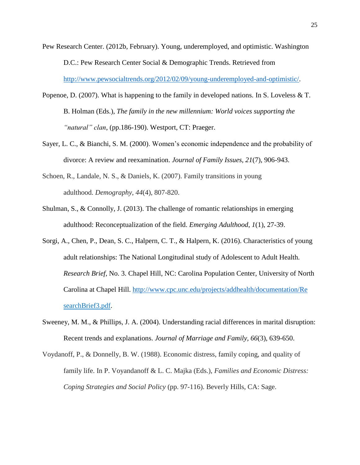- Pew Research Center. (2012b, February). Young, underemployed, and optimistic. Washington D.C.: Pew Research Center Social & Demographic Trends. Retrieved from [http://www.pewsocialtrends.org/2012/02/09/young-underemployed-and-optimistic/.](http://www.pewsocialtrends.org/2012/02/09/young-underemployed-and-optimistic/)
- Popenoe, D. (2007). What is happening to the family in developed nations. In S. Loveless & T. B. Holman (Eds.), *The family in the new millennium: World voices supporting the "natural" clan*, (pp.186-190). Westport, CT: Praeger.
- Sayer, L. C., & Bianchi, S. M. (2000). Women's economic independence and the probability of divorce: A review and reexamination. *Journal of Family Issues, 21*(7), 906-943.
- Schoen, R., Landale, N. S., & Daniels, K. (2007). Family transitions in young adulthood. *Demography*, *44*(4), 807-820.
- Shulman, S., & Connolly, J. (2013). The challenge of romantic relationships in emerging adulthood: Reconceptualization of the field. *Emerging Adulthood*, *1*(1), 27-39.
- Sorgi, A., Chen, P., Dean, S. C., Halpern, C. T., & Halpern, K. (2016). Characteristics of young adult relationships: The National Longitudinal study of Adolescent to Adult Health. *Research Brief,* No. 3. Chapel Hill, NC: Carolina Population Center, University of North Carolina at Chapel Hill.<http://www.cpc.unc.edu/projects/addhealth/documentation/Re> searchBrief3.pdf.
- Sweeney, M. M., & Phillips, J. A. (2004). Understanding racial differences in marital disruption: Recent trends and explanations. *Journal of Marriage and Family, 66*(3), 639-650.
- Voydanoff, P., & Donnelly, B. W. (1988). Economic distress, family coping, and quality of family life. In P. Voyandanoff & L. C. Majka (Eds.), *Families and Economic Distress: Coping Strategies and Social Policy* (pp. 97-116). Beverly Hills, CA: Sage.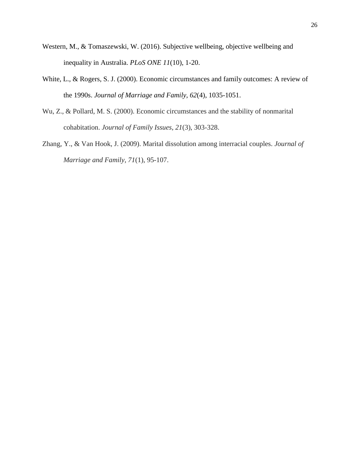- Western, M., & Tomaszewski, W. (2016). Subjective wellbeing, objective wellbeing and inequality in Australia. *PLoS ONE 11*(10), 1-20.
- White, L., & Rogers, S. J. (2000). Economic circumstances and family outcomes: A review of the 1990s. *Journal of Marriage and Family, 62*(4), 1035-1051.
- Wu, Z., & Pollard, M. S. (2000). Economic circumstances and the stability of nonmarital cohabitation. *Journal of Family Issues*, *21*(3), 303-328.
- Zhang, Y., & Van Hook, J. (2009). Marital dissolution among interracial couples. *Journal of Marriage and Family, 71*(1), 95-107.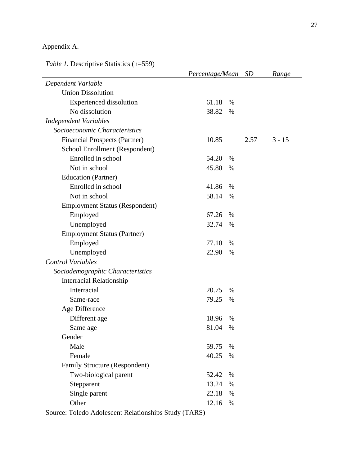# Appendix A.

*Table 1*. Descriptive Statistics (n=559)

|                                       | Percentage/Mean |      | <i>SD</i> | Range    |
|---------------------------------------|-----------------|------|-----------|----------|
| Dependent Variable                    |                 |      |           |          |
| <b>Union Dissolution</b>              |                 |      |           |          |
| <b>Experienced</b> dissolution        | 61.18           | $\%$ |           |          |
| No dissolution                        | 38.82           | %    |           |          |
| <b>Independent Variables</b>          |                 |      |           |          |
| Socioeconomic Characteristics         |                 |      |           |          |
| <b>Financial Prospects (Partner)</b>  | 10.85           |      | 2.57      | $3 - 15$ |
| School Enrollment (Respondent)        |                 |      |           |          |
| Enrolled in school                    | 54.20           | %    |           |          |
| Not in school                         | 45.80           | %    |           |          |
| Education (Partner)                   |                 |      |           |          |
| Enrolled in school                    | 41.86           | %    |           |          |
| Not in school                         | 58.14           | %    |           |          |
| <b>Employment Status (Respondent)</b> |                 |      |           |          |
| Employed                              | 67.26           | $\%$ |           |          |
| Unemployed                            | 32.74           | %    |           |          |
| <b>Employment Status (Partner)</b>    |                 |      |           |          |
| Employed                              | 77.10           | $\%$ |           |          |
| Unemployed                            | 22.90           | %    |           |          |
| <b>Control Variables</b>              |                 |      |           |          |
| Sociodemographic Characteristics      |                 |      |           |          |
| <b>Interracial Relationship</b>       |                 |      |           |          |
| Interracial                           | 20.75           | %    |           |          |
| Same-race                             | 79.25           | %    |           |          |
| Age Difference                        |                 |      |           |          |
| Different age                         | 18.96           | $\%$ |           |          |
| Same age                              | 81.04           | %    |           |          |
| Gender                                |                 |      |           |          |
| Male                                  | 59.75           | $\%$ |           |          |
| Female                                | 40.25           | %    |           |          |
| Family Structure (Respondent)         |                 |      |           |          |
| Two-biological parent                 | 52.42           | %    |           |          |
| Stepparent                            | 13.24           | %    |           |          |
| Single parent                         | 22.18           | %    |           |          |
| Other                                 | 12.16           | $\%$ |           |          |

Source: Toledo Adolescent Relationships Study (TARS)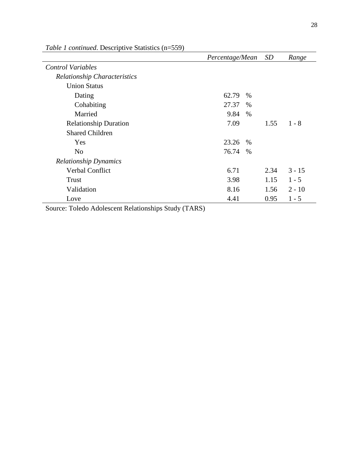|                                     | Percentage/Mean | SD   | Range    |
|-------------------------------------|-----------------|------|----------|
| <b>Control Variables</b>            |                 |      |          |
| <b>Relationship Characteristics</b> |                 |      |          |
| <b>Union Status</b>                 |                 |      |          |
| Dating                              | 62.79<br>$\%$   |      |          |
| Cohabiting                          | 27.37<br>$\%$   |      |          |
| Married                             | 9.84<br>$\%$    |      |          |
| <b>Relationship Duration</b>        | 7.09            | 1.55 | $1 - 8$  |
| <b>Shared Children</b>              |                 |      |          |
| Yes                                 | 23.26<br>$\%$   |      |          |
| N <sub>o</sub>                      | 76.74<br>$\%$   |      |          |
| <b>Relationship Dynamics</b>        |                 |      |          |
| Verbal Conflict                     | 6.71            | 2.34 | $3 - 15$ |
| Trust                               | 3.98            | 1.15 | $1 - 5$  |
| Validation                          | 8.16            | 1.56 | $2 - 10$ |
| Love                                | 4.41            | 0.95 | $1 - 5$  |

*Table 1 continued*. Descriptive Statistics (n=559)

Source: Toledo Adolescent Relationships Study (TARS)